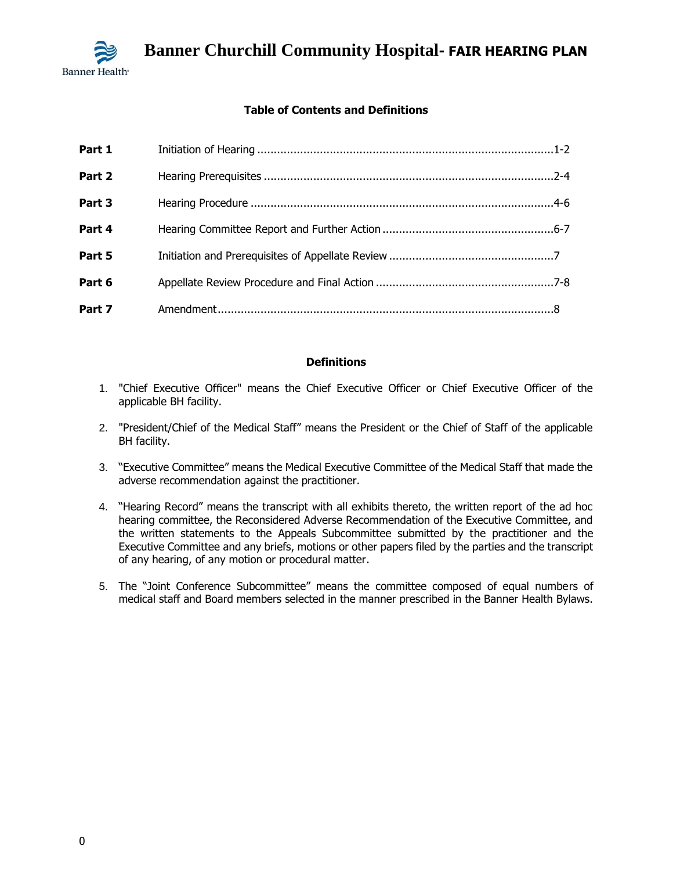

## **Table of Contents and Definitions**

| Part 1 |  |
|--------|--|
| Part 2 |  |
| Part 3 |  |
| Part 4 |  |
| Part 5 |  |
| Part 6 |  |
| Part 7 |  |

## **Definitions**

- 1. "Chief Executive Officer" means the Chief Executive Officer or Chief Executive Officer of the applicable BH facility.
- 2. "President/Chief of the Medical Staff" means the President or the Chief of Staff of the applicable BH facility.
- 3. "Executive Committee" means the Medical Executive Committee of the Medical Staff that made the adverse recommendation against the practitioner.
- 4. "Hearing Record" means the transcript with all exhibits thereto, the written report of the ad hoc hearing committee, the Reconsidered Adverse Recommendation of the Executive Committee, and the written statements to the Appeals Subcommittee submitted by the practitioner and the Executive Committee and any briefs, motions or other papers filed by the parties and the transcript of any hearing, of any motion or procedural matter.
- 5. The "Joint Conference Subcommittee" means the committee composed of equal numbers of medical staff and Board members selected in the manner prescribed in the Banner Health Bylaws.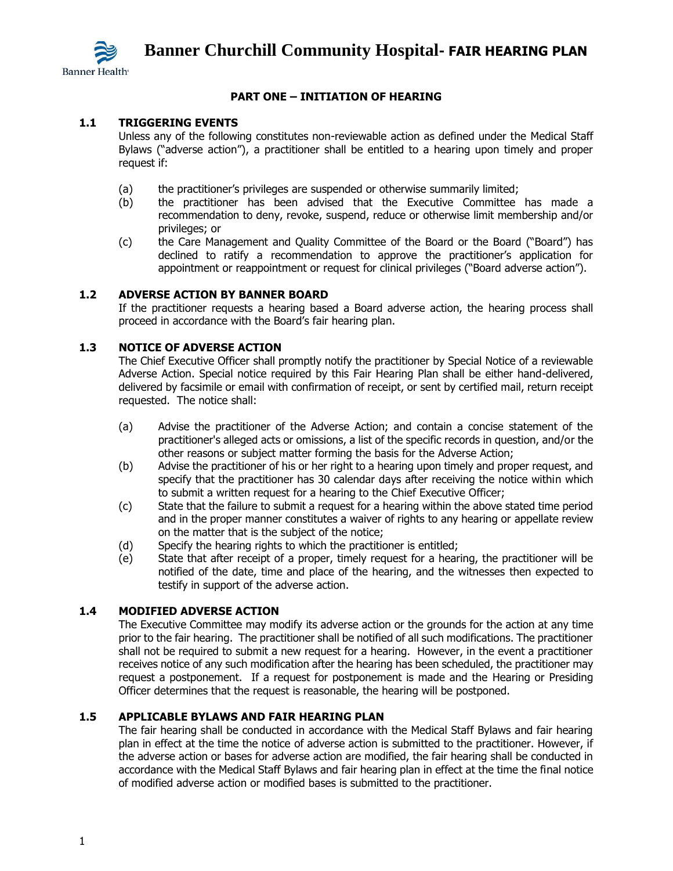

## **PART ONE – INITIATION OF HEARING**

## **1.1 TRIGGERING EVENTS**

Unless any of the following constitutes non-reviewable action as defined under the Medical Staff Bylaws ("adverse action"), a practitioner shall be entitled to a hearing upon timely and proper request if:

- (a) the practitioner's privileges are suspended or otherwise summarily limited;
- (b) the practitioner has been advised that the Executive Committee has made a recommendation to deny, revoke, suspend, reduce or otherwise limit membership and/or privileges; or
- (c) the Care Management and Quality Committee of the Board or the Board ("Board") has declined to ratify a recommendation to approve the practitioner's application for appointment or reappointment or request for clinical privileges ("Board adverse action").

## **1.2 ADVERSE ACTION BY BANNER BOARD**

If the practitioner requests a hearing based a Board adverse action, the hearing process shall proceed in accordance with the Board's fair hearing plan.

## **1.3 NOTICE OF ADVERSE ACTION**

The Chief Executive Officer shall promptly notify the practitioner by Special Notice of a reviewable Adverse Action. Special notice required by this Fair Hearing Plan shall be either hand-delivered, delivered by facsimile or email with confirmation of receipt, or sent by certified mail, return receipt requested. The notice shall:

- (a) Advise the practitioner of the Adverse Action; and contain a concise statement of the practitioner's alleged acts or omissions, a list of the specific records in question, and/or the other reasons or subject matter forming the basis for the Adverse Action;
- (b) Advise the practitioner of his or her right to a hearing upon timely and proper request, and specify that the practitioner has 30 calendar days after receiving the notice within which to submit a written request for a hearing to the Chief Executive Officer;
- (c) State that the failure to submit a request for a hearing within the above stated time period and in the proper manner constitutes a waiver of rights to any hearing or appellate review on the matter that is the subject of the notice;
- (d) Specify the hearing rights to which the practitioner is entitled;
- (e) State that after receipt of a proper, timely request for a hearing, the practitioner will be notified of the date, time and place of the hearing, and the witnesses then expected to testify in support of the adverse action.

## **1.4 MODIFIED ADVERSE ACTION**

The Executive Committee may modify its adverse action or the grounds for the action at any time prior to the fair hearing. The practitioner shall be notified of all such modifications. The practitioner shall not be required to submit a new request for a hearing. However, in the event a practitioner receives notice of any such modification after the hearing has been scheduled, the practitioner may request a postponement. If a request for postponement is made and the Hearing or Presiding Officer determines that the request is reasonable, the hearing will be postponed.

#### **1.5 APPLICABLE BYLAWS AND FAIR HEARING PLAN**

The fair hearing shall be conducted in accordance with the Medical Staff Bylaws and fair hearing plan in effect at the time the notice of adverse action is submitted to the practitioner. However, if the adverse action or bases for adverse action are modified, the fair hearing shall be conducted in accordance with the Medical Staff Bylaws and fair hearing plan in effect at the time the final notice of modified adverse action or modified bases is submitted to the practitioner.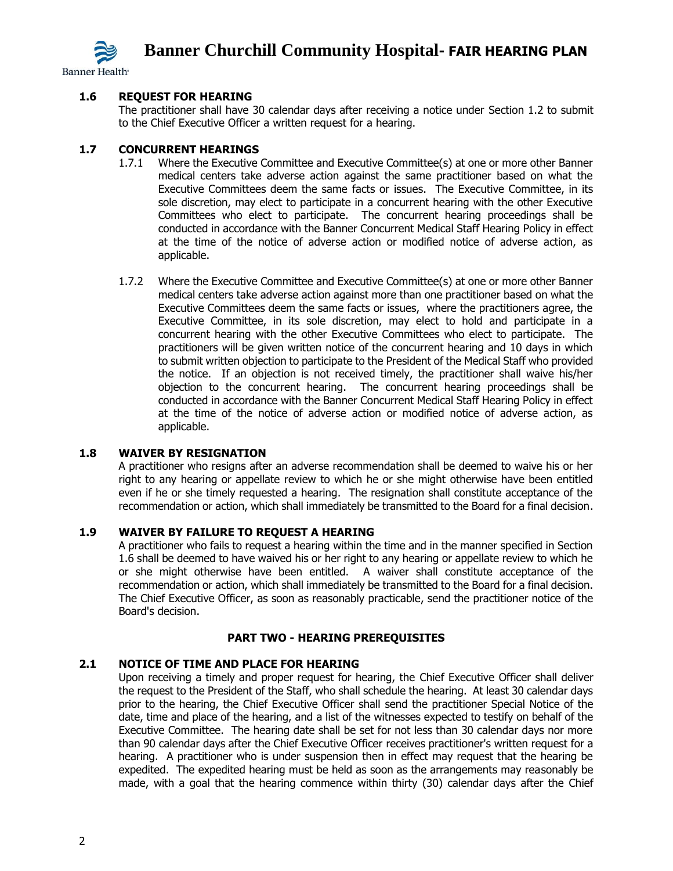

**Banner Health**<sup>®</sup>

## **1.6 REQUEST FOR HEARING**

The practitioner shall have 30 calendar days after receiving a notice under Section 1.2 to submit to the Chief Executive Officer a written request for a hearing.

## **1.7 CONCURRENT HEARINGS**

- 1.7.1 Where the Executive Committee and Executive Committee(s) at one or more other Banner medical centers take adverse action against the same practitioner based on what the Executive Committees deem the same facts or issues. The Executive Committee, in its sole discretion, may elect to participate in a concurrent hearing with the other Executive Committees who elect to participate. The concurrent hearing proceedings shall be conducted in accordance with the Banner Concurrent Medical Staff Hearing Policy in effect at the time of the notice of adverse action or modified notice of adverse action, as applicable.
- 1.7.2 Where the Executive Committee and Executive Committee(s) at one or more other Banner medical centers take adverse action against more than one practitioner based on what the Executive Committees deem the same facts or issues, where the practitioners agree, the Executive Committee, in its sole discretion, may elect to hold and participate in a concurrent hearing with the other Executive Committees who elect to participate. The practitioners will be given written notice of the concurrent hearing and 10 days in which to submit written objection to participate to the President of the Medical Staff who provided the notice. If an objection is not received timely, the practitioner shall waive his/her objection to the concurrent hearing. The concurrent hearing proceedings shall be conducted in accordance with the Banner Concurrent Medical Staff Hearing Policy in effect at the time of the notice of adverse action or modified notice of adverse action, as applicable.

## **1.8 WAIVER BY RESIGNATION**

A practitioner who resigns after an adverse recommendation shall be deemed to waive his or her right to any hearing or appellate review to which he or she might otherwise have been entitled even if he or she timely requested a hearing. The resignation shall constitute acceptance of the recommendation or action, which shall immediately be transmitted to the Board for a final decision.

#### **1.9 WAIVER BY FAILURE TO REQUEST A HEARING**

A practitioner who fails to request a hearing within the time and in the manner specified in Section 1.6 shall be deemed to have waived his or her right to any hearing or appellate review to which he or she might otherwise have been entitled. A waiver shall constitute acceptance of the recommendation or action, which shall immediately be transmitted to the Board for a final decision. The Chief Executive Officer, as soon as reasonably practicable, send the practitioner notice of the Board's decision.

## **PART TWO - HEARING PREREQUISITES**

#### **2.1 NOTICE OF TIME AND PLACE FOR HEARING**

Upon receiving a timely and proper request for hearing, the Chief Executive Officer shall deliver the request to the President of the Staff, who shall schedule the hearing. At least 30 calendar days prior to the hearing, the Chief Executive Officer shall send the practitioner Special Notice of the date, time and place of the hearing, and a list of the witnesses expected to testify on behalf of the Executive Committee. The hearing date shall be set for not less than 30 calendar days nor more than 90 calendar days after the Chief Executive Officer receives practitioner's written request for a hearing. A practitioner who is under suspension then in effect may request that the hearing be expedited. The expedited hearing must be held as soon as the arrangements may reasonably be made, with a goal that the hearing commence within thirty (30) calendar days after the Chief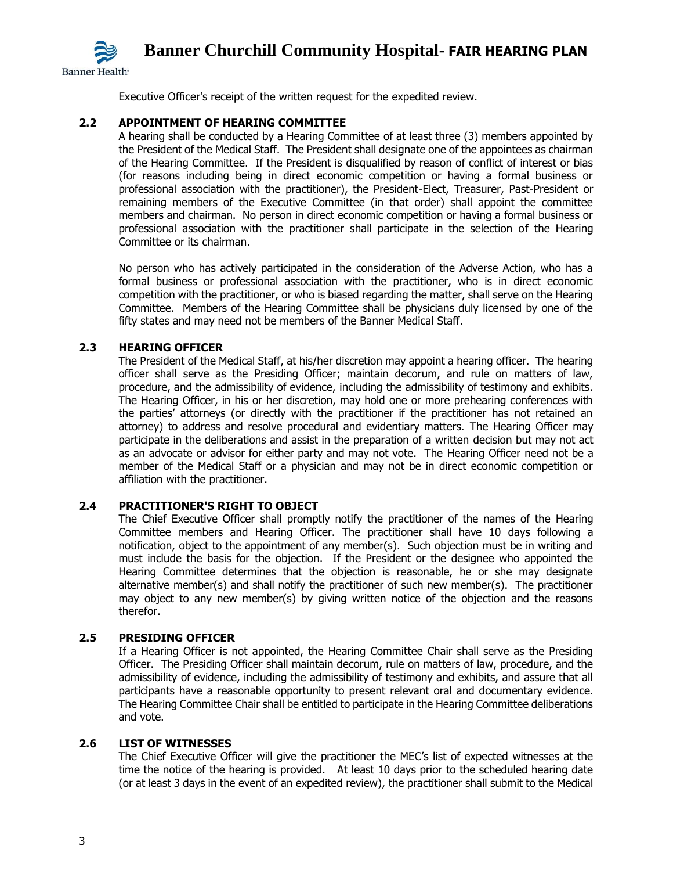

Executive Officer's receipt of the written request for the expedited review.

## **2.2 APPOINTMENT OF HEARING COMMITTEE**

A hearing shall be conducted by a Hearing Committee of at least three (3) members appointed by the President of the Medical Staff. The President shall designate one of the appointees as chairman of the Hearing Committee. If the President is disqualified by reason of conflict of interest or bias (for reasons including being in direct economic competition or having a formal business or professional association with the practitioner), the President-Elect, Treasurer, Past-President or remaining members of the Executive Committee (in that order) shall appoint the committee members and chairman. No person in direct economic competition or having a formal business or professional association with the practitioner shall participate in the selection of the Hearing Committee or its chairman.

No person who has actively participated in the consideration of the Adverse Action, who has a formal business or professional association with the practitioner, who is in direct economic competition with the practitioner, or who is biased regarding the matter, shall serve on the Hearing Committee. Members of the Hearing Committee shall be physicians duly licensed by one of the fifty states and may need not be members of the Banner Medical Staff.

## **2.3 HEARING OFFICER**

The President of the Medical Staff, at his/her discretion may appoint a hearing officer. The hearing officer shall serve as the Presiding Officer; maintain decorum, and rule on matters of law, procedure, and the admissibility of evidence, including the admissibility of testimony and exhibits. The Hearing Officer, in his or her discretion, may hold one or more prehearing conferences with the parties' attorneys (or directly with the practitioner if the practitioner has not retained an attorney) to address and resolve procedural and evidentiary matters. The Hearing Officer may participate in the deliberations and assist in the preparation of a written decision but may not act as an advocate or advisor for either party and may not vote. The Hearing Officer need not be a member of the Medical Staff or a physician and may not be in direct economic competition or affiliation with the practitioner.

## **2.4 PRACTITIONER'S RIGHT TO OBJECT**

The Chief Executive Officer shall promptly notify the practitioner of the names of the Hearing Committee members and Hearing Officer. The practitioner shall have 10 days following a notification, object to the appointment of any member(s). Such objection must be in writing and must include the basis for the objection. If the President or the designee who appointed the Hearing Committee determines that the objection is reasonable, he or she may designate alternative member(s) and shall notify the practitioner of such new member(s). The practitioner may object to any new member(s) by giving written notice of the objection and the reasons therefor.

## **2.5 PRESIDING OFFICER**

If a Hearing Officer is not appointed, the Hearing Committee Chair shall serve as the Presiding Officer. The Presiding Officer shall maintain decorum, rule on matters of law, procedure, and the admissibility of evidence, including the admissibility of testimony and exhibits, and assure that all participants have a reasonable opportunity to present relevant oral and documentary evidence. The Hearing Committee Chair shall be entitled to participate in the Hearing Committee deliberations and vote.

#### **2.6 LIST OF WITNESSES**

The Chief Executive Officer will give the practitioner the MEC's list of expected witnesses at the time the notice of the hearing is provided. At least 10 days prior to the scheduled hearing date (or at least 3 days in the event of an expedited review), the practitioner shall submit to the Medical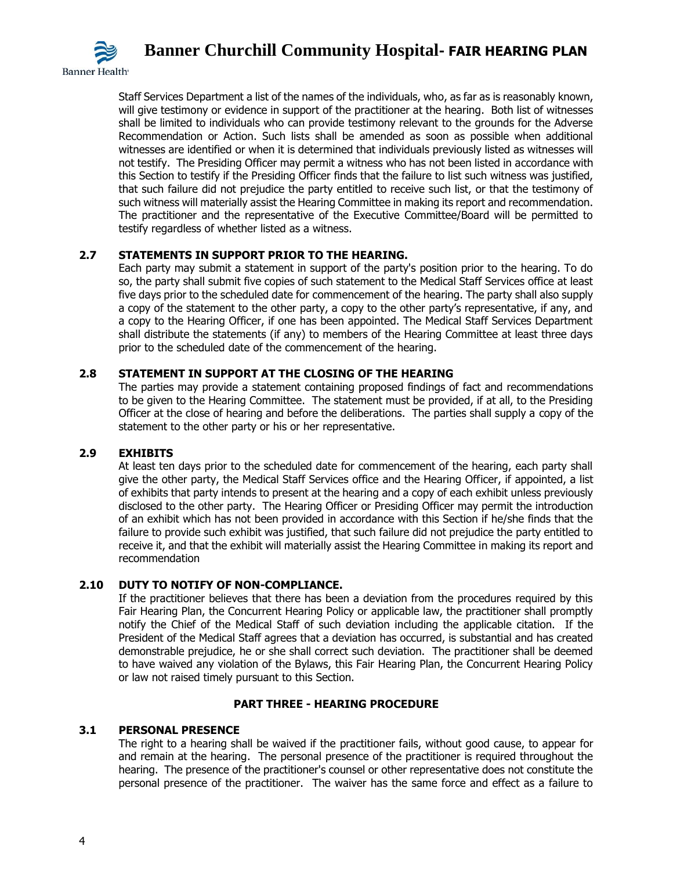

Staff Services Department a list of the names of the individuals, who, as far as is reasonably known, will give testimony or evidence in support of the practitioner at the hearing. Both list of witnesses shall be limited to individuals who can provide testimony relevant to the grounds for the Adverse Recommendation or Action. Such lists shall be amended as soon as possible when additional witnesses are identified or when it is determined that individuals previously listed as witnesses will not testify. The Presiding Officer may permit a witness who has not been listed in accordance with this Section to testify if the Presiding Officer finds that the failure to list such witness was justified, that such failure did not prejudice the party entitled to receive such list, or that the testimony of such witness will materially assist the Hearing Committee in making its report and recommendation. The practitioner and the representative of the Executive Committee/Board will be permitted to testify regardless of whether listed as a witness.

# **2.7 STATEMENTS IN SUPPORT PRIOR TO THE HEARING.**

Each party may submit a statement in support of the party's position prior to the hearing. To do so, the party shall submit five copies of such statement to the Medical Staff Services office at least five days prior to the scheduled date for commencement of the hearing. The party shall also supply a copy of the statement to the other party, a copy to the other party's representative, if any, and a copy to the Hearing Officer, if one has been appointed. The Medical Staff Services Department shall distribute the statements (if any) to members of the Hearing Committee at least three days prior to the scheduled date of the commencement of the hearing.

## **2.8 STATEMENT IN SUPPORT AT THE CLOSING OF THE HEARING**

The parties may provide a statement containing proposed findings of fact and recommendations to be given to the Hearing Committee. The statement must be provided, if at all, to the Presiding Officer at the close of hearing and before the deliberations. The parties shall supply a copy of the statement to the other party or his or her representative.

## **2.9 EXHIBITS**

At least ten days prior to the scheduled date for commencement of the hearing, each party shall give the other party, the Medical Staff Services office and the Hearing Officer, if appointed, a list of exhibits that party intends to present at the hearing and a copy of each exhibit unless previously disclosed to the other party. The Hearing Officer or Presiding Officer may permit the introduction of an exhibit which has not been provided in accordance with this Section if he/she finds that the failure to provide such exhibit was justified, that such failure did not prejudice the party entitled to receive it, and that the exhibit will materially assist the Hearing Committee in making its report and recommendation

## **2.10 DUTY TO NOTIFY OF NON-COMPLIANCE.**

If the practitioner believes that there has been a deviation from the procedures required by this Fair Hearing Plan, the Concurrent Hearing Policy or applicable law, the practitioner shall promptly notify the Chief of the Medical Staff of such deviation including the applicable citation. If the President of the Medical Staff agrees that a deviation has occurred, is substantial and has created demonstrable prejudice, he or she shall correct such deviation. The practitioner shall be deemed to have waived any violation of the Bylaws, this Fair Hearing Plan, the Concurrent Hearing Policy or law not raised timely pursuant to this Section.

## **PART THREE - HEARING PROCEDURE**

#### **3.1 PERSONAL PRESENCE**

The right to a hearing shall be waived if the practitioner fails, without good cause, to appear for and remain at the hearing. The personal presence of the practitioner is required throughout the hearing. The presence of the practitioner's counsel or other representative does not constitute the personal presence of the practitioner. The waiver has the same force and effect as a failure to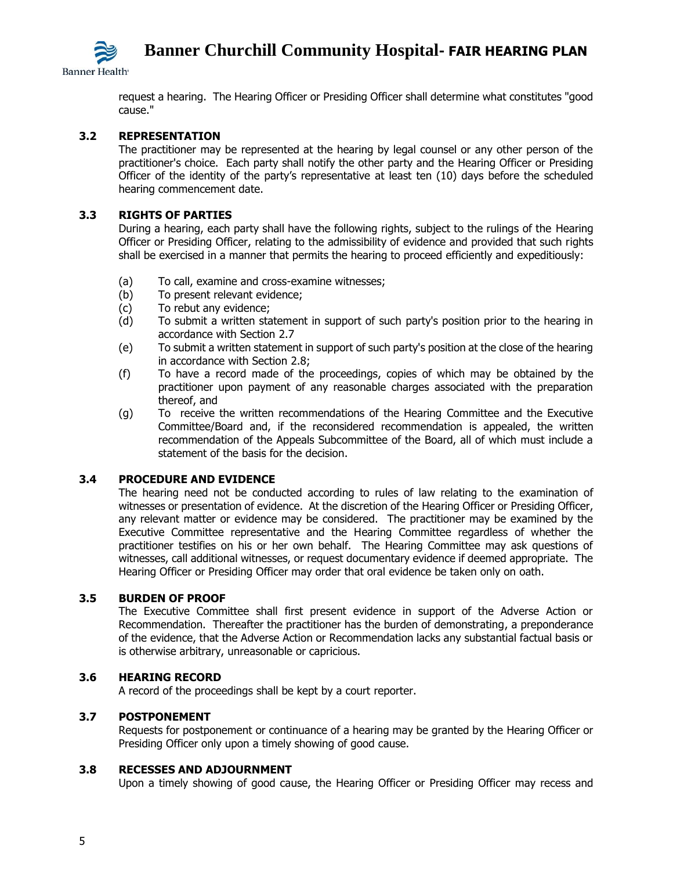**Banner Health**<sup>®</sup>

request a hearing. The Hearing Officer or Presiding Officer shall determine what constitutes "good cause."

## **3.2 REPRESENTATION**

The practitioner may be represented at the hearing by legal counsel or any other person of the practitioner's choice. Each party shall notify the other party and the Hearing Officer or Presiding Officer of the identity of the party's representative at least ten (10) days before the scheduled hearing commencement date.

#### **3.3 RIGHTS OF PARTIES**

During a hearing, each party shall have the following rights, subject to the rulings of the Hearing Officer or Presiding Officer, relating to the admissibility of evidence and provided that such rights shall be exercised in a manner that permits the hearing to proceed efficiently and expeditiously:

- (a) To call, examine and cross-examine witnesses;
- (b) To present relevant evidence;
- (c) To rebut any evidence;
- (d) To submit a written statement in support of such party's position prior to the hearing in accordance with Section 2.7
- (e) To submit a written statement in support of such party's position at the close of the hearing in accordance with Section 2.8;
- (f) To have a record made of the proceedings, copies of which may be obtained by the practitioner upon payment of any reasonable charges associated with the preparation thereof, and
- (g) To receive the written recommendations of the Hearing Committee and the Executive Committee/Board and, if the reconsidered recommendation is appealed, the written recommendation of the Appeals Subcommittee of the Board, all of which must include a statement of the basis for the decision.

#### **3.4 PROCEDURE AND EVIDENCE**

The hearing need not be conducted according to rules of law relating to the examination of witnesses or presentation of evidence. At the discretion of the Hearing Officer or Presiding Officer, any relevant matter or evidence may be considered. The practitioner may be examined by the Executive Committee representative and the Hearing Committee regardless of whether the practitioner testifies on his or her own behalf. The Hearing Committee may ask questions of witnesses, call additional witnesses, or request documentary evidence if deemed appropriate. The Hearing Officer or Presiding Officer may order that oral evidence be taken only on oath.

#### **3.5 BURDEN OF PROOF**

The Executive Committee shall first present evidence in support of the Adverse Action or Recommendation. Thereafter the practitioner has the burden of demonstrating, a preponderance of the evidence, that the Adverse Action or Recommendation lacks any substantial factual basis or is otherwise arbitrary, unreasonable or capricious.

#### **3.6 HEARING RECORD**

A record of the proceedings shall be kept by a court reporter.

#### **3.7 POSTPONEMENT**

Requests for postponement or continuance of a hearing may be granted by the Hearing Officer or Presiding Officer only upon a timely showing of good cause.

## **3.8 RECESSES AND ADJOURNMENT**

Upon a timely showing of good cause, the Hearing Officer or Presiding Officer may recess and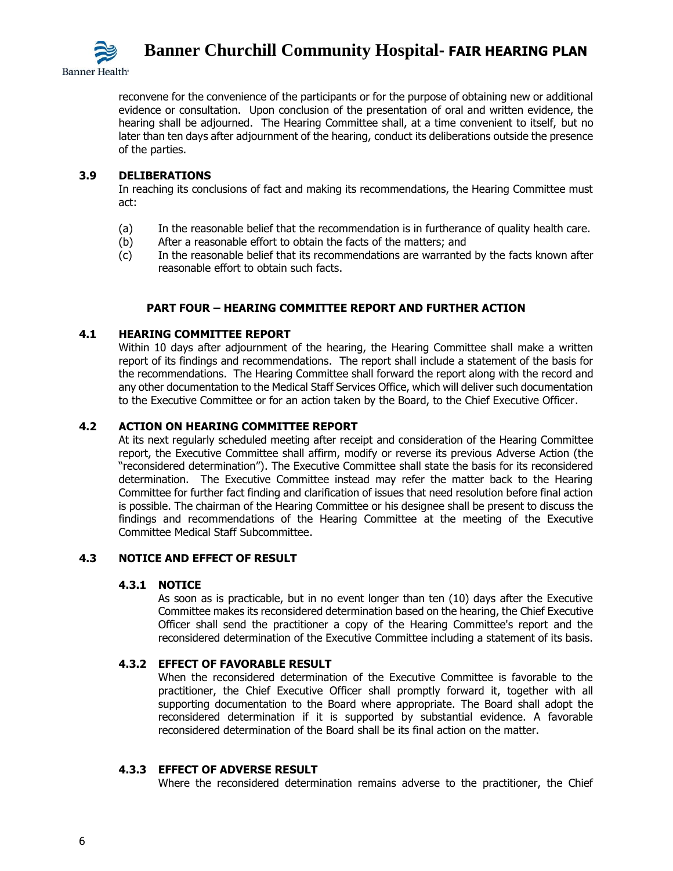

reconvene for the convenience of the participants or for the purpose of obtaining new or additional evidence or consultation. Upon conclusion of the presentation of oral and written evidence, the hearing shall be adjourned. The Hearing Committee shall, at a time convenient to itself, but no later than ten days after adjournment of the hearing, conduct its deliberations outside the presence of the parties.

## **3.9 DELIBERATIONS**

In reaching its conclusions of fact and making its recommendations, the Hearing Committee must act:

- (a) In the reasonable belief that the recommendation is in furtherance of quality health care.
- (b) After a reasonable effort to obtain the facts of the matters; and
- (c) In the reasonable belief that its recommendations are warranted by the facts known after reasonable effort to obtain such facts.

## **PART FOUR – HEARING COMMITTEE REPORT AND FURTHER ACTION**

#### **4.1 HEARING COMMITTEE REPORT**

Within 10 days after adjournment of the hearing, the Hearing Committee shall make a written report of its findings and recommendations. The report shall include a statement of the basis for the recommendations. The Hearing Committee shall forward the report along with the record and any other documentation to the Medical Staff Services Office, which will deliver such documentation to the Executive Committee or for an action taken by the Board, to the Chief Executive Officer.

## **4.2 ACTION ON HEARING COMMITTEE REPORT**

At its next regularly scheduled meeting after receipt and consideration of the Hearing Committee report, the Executive Committee shall affirm, modify or reverse its previous Adverse Action (the "reconsidered determination"). The Executive Committee shall state the basis for its reconsidered determination. The Executive Committee instead may refer the matter back to the Hearing Committee for further fact finding and clarification of issues that need resolution before final action is possible. The chairman of the Hearing Committee or his designee shall be present to discuss the findings and recommendations of the Hearing Committee at the meeting of the Executive Committee Medical Staff Subcommittee.

#### **4.3 NOTICE AND EFFECT OF RESULT**

#### **4.3.1 NOTICE**

As soon as is practicable, but in no event longer than ten (10) days after the Executive Committee makes its reconsidered determination based on the hearing, the Chief Executive Officer shall send the practitioner a copy of the Hearing Committee's report and the reconsidered determination of the Executive Committee including a statement of its basis.

#### **4.3.2 EFFECT OF FAVORABLE RESULT**

When the reconsidered determination of the Executive Committee is favorable to the practitioner, the Chief Executive Officer shall promptly forward it, together with all supporting documentation to the Board where appropriate. The Board shall adopt the reconsidered determination if it is supported by substantial evidence. A favorable reconsidered determination of the Board shall be its final action on the matter.

#### **4.3.3 EFFECT OF ADVERSE RESULT**

Where the reconsidered determination remains adverse to the practitioner, the Chief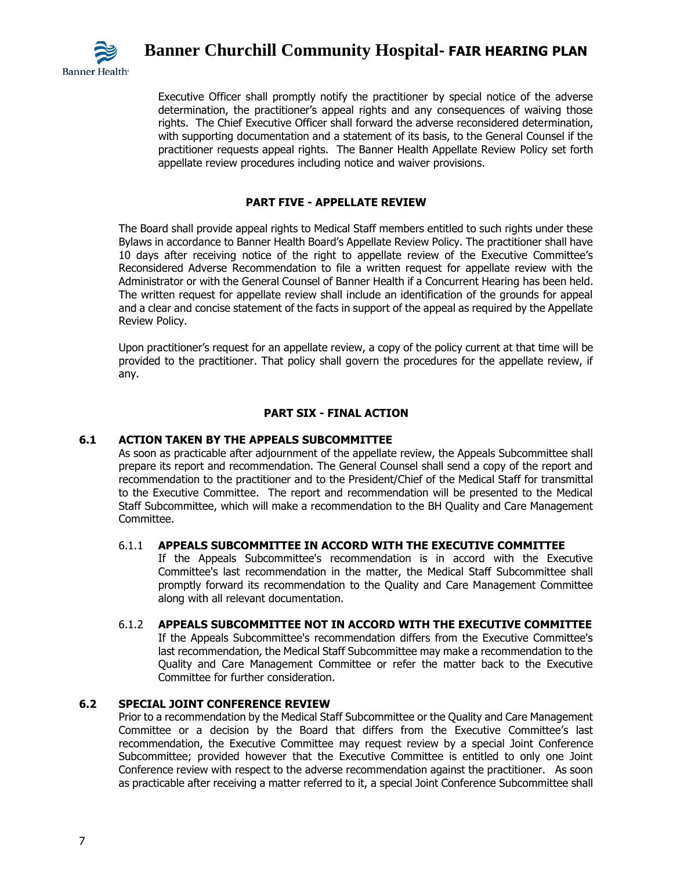

Executive Officer shall promptly notify the practitioner by special notice of the adverse determination, the practitioner's appeal rights and any consequences of waiving those rights. The Chief Executive Officer shall forward the adverse reconsidered determination, with supporting documentation and a statement of its basis, to the General Counsel if the practitioner requests appeal rights. The Banner Health Appellate Review Policy set forth appellate review procedures including notice and waiver provisions.

## **PART FIVE - APPELLATE REVIEW**

The Board shall provide appeal rights to Medical Staff members entitled to such rights under these Bylaws in accordance to Banner Health Board's Appellate Review Policy. The practitioner shall have 10 days after receiving notice of the right to appellate review of the Executive Committee's Reconsidered Adverse Recommendation to file a written request for appellate review with the Administrator or with the General Counsel of Banner Health if a Concurrent Hearing has been held. The written request for appellate review shall include an identification of the grounds for appeal and a clear and concise statement of the facts in support of the appeal as required by the Appellate Review Policy.

Upon practitioner's request for an appellate review, a copy of the policy current at that time will be provided to the practitioner. That policy shall govern the procedures for the appellate review, if any.

## **PART SIX - FINAL ACTION**

## **6.1 ACTION TAKEN BY THE APPEALS SUBCOMMITTEE**

As soon as practicable after adjournment of the appellate review, the Appeals Subcommittee shall prepare its report and recommendation. The General Counsel shall send a copy of the report and recommendation to the practitioner and to the President/Chief of the Medical Staff for transmittal to the Executive Committee. The report and recommendation will be presented to the Medical Staff Subcommittee, which will make a recommendation to the BH Quality and Care Management Committee.

## 6.1.1 **APPEALS SUBCOMMITTEE IN ACCORD WITH THE EXECUTIVE COMMITTEE**

If the Appeals Subcommittee's recommendation is in accord with the Executive Committee's last recommendation in the matter, the Medical Staff Subcommittee shall promptly forward its recommendation to the Quality and Care Management Committee along with all relevant documentation.

#### 6.1.2 **APPEALS SUBCOMMITTEE NOT IN ACCORD WITH THE EXECUTIVE COMMITTEE**

If the Appeals Subcommittee's recommendation differs from the Executive Committee's last recommendation, the Medical Staff Subcommittee may make a recommendation to the Quality and Care Management Committee or refer the matter back to the Executive Committee for further consideration.

# **6.2 SPECIAL JOINT CONFERENCE REVIEW**

Prior to a recommendation by the Medical Staff Subcommittee or the Quality and Care Management Committee or a decision by the Board that differs from the Executive Committee's last recommendation, the Executive Committee may request review by a special Joint Conference Subcommittee; provided however that the Executive Committee is entitled to only one Joint Conference review with respect to the adverse recommendation against the practitioner. As soon as practicable after receiving a matter referred to it, a special Joint Conference Subcommittee shall